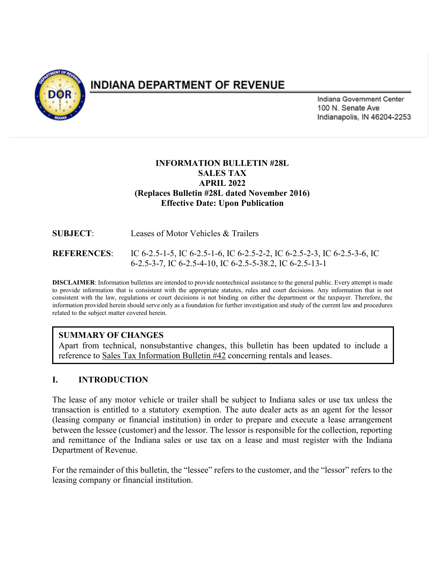

# **INDIANA DEPARTMENT OF REVENUE**

Indiana Government Center 100 N. Senate Ave Indianapolis, IN 46204-2253

## **INFORMATION BULLETIN #28L SALES TAX APRIL 2022 (Replaces Bulletin #28L dated November 2016) Effective Date: Upon Publication**

**SUBJECT**: Leases of Motor Vehicles & Trailers **REFERENCES**: IC 6-2.5-1-5, IC 6-2.5-1-6, IC 6-2.5-2-2, IC 6-2.5-2-3, IC 6-2.5-3-6, IC 6-2.5-3-7, IC 6-2.5-4-10, IC 6-2.5-5-38.2, IC 6-2.5-13-1

**DISCLAIMER**: Information bulletins are intended to provide nontechnical assistance to the general public. Every attempt is made to provide information that is consistent with the appropriate statutes, rules and court decisions. Any information that is not consistent with the law, regulations or court decisions is not binding on either the department or the taxpayer. Therefore, the information provided herein should serve only as a foundation for further investigation and study of the current law and procedures related to the subject matter covered herein.

## **SUMMARY OF CHANGES**

Apart from technical, nonsubstantive changes, this bulletin has been updated to include a reference to Sales Tax Information Bulletin #42 concerning rentals and leases.

## **I. INTRODUCTION**

The lease of any motor vehicle or trailer shall be subject to Indiana sales or use tax unless the transaction is entitled to a statutory exemption. The auto dealer acts as an agent for the lessor (leasing company or financial institution) in order to prepare and execute a lease arrangement between the lessee (customer) and the lessor. The lessor is responsible for the collection, reporting and remittance of the Indiana sales or use tax on a lease and must register with the Indiana Department of Revenue.

For the remainder of this bulletin, the "lessee" refers to the customer, and the "lessor" refers to the leasing company or financial institution.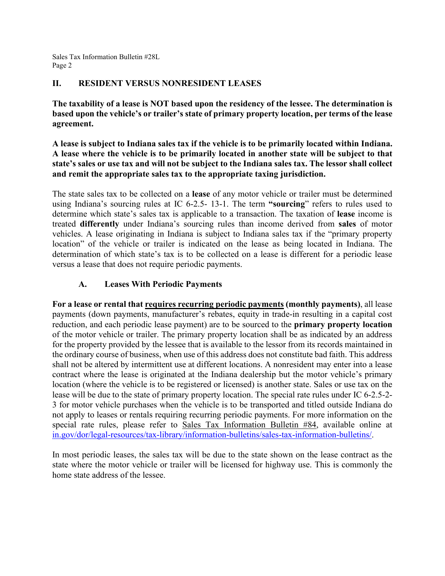## **II. RESIDENT VERSUS NONRESIDENT LEASES**

**The taxability of a lease is NOT based upon the residency of the lessee. The determination is based upon the vehicle's or trailer's state of primary property location, per terms of the lease agreement.**

**A lease is subject to Indiana sales tax if the vehicle is to be primarily located within Indiana. A lease where the vehicle is to be primarily located in another state will be subject to that state's sales or use tax and will not be subject to the Indiana sales tax. The lessor shall collect and remit the appropriate sales tax to the appropriate taxing jurisdiction.** 

The state sales tax to be collected on a **lease** of any motor vehicle or trailer must be determined using Indiana's sourcing rules at IC 6-2.5- 13-1. The term **"sourcing**" refers to rules used to determine which state's sales tax is applicable to a transaction. The taxation of **lease** income is treated **differently** under Indiana's sourcing rules than income derived from **sales** of motor vehicles. A lease originating in Indiana is subject to Indiana sales tax if the "primary property location" of the vehicle or trailer is indicated on the lease as being located in Indiana. The determination of which state's tax is to be collected on a lease is different for a periodic lease versus a lease that does not require periodic payments.

# **A. Leases With Periodic Payments**

**For a lease or rental that requires recurring periodic payments (monthly payments)**, all lease payments (down payments, manufacturer's rebates, equity in trade-in resulting in a capital cost reduction, and each periodic lease payment) are to be sourced to the **primary property location**  of the motor vehicle or trailer. The primary property location shall be as indicated by an address for the property provided by the lessee that is available to the lessor from its records maintained in the ordinary course of business, when use of this address does not constitute bad faith. This address shall not be altered by intermittent use at different locations. A nonresident may enter into a lease contract where the lease is originated at the Indiana dealership but the motor vehicle's primary location (where the vehicle is to be registered or licensed) is another state. Sales or use tax on the lease will be due to the state of primary property location. The special rate rules under IC 6-2.5-2- 3 for motor vehicle purchases when the vehicle is to be transported and titled outside Indiana do not apply to leases or rentals requiring recurring periodic payments. For more information on the special rate rules, please refer to Sales Tax Information Bulletin #84, available online at [in.gov/dor/legal-resources/tax-library/information-bulletins/sales-tax-information-bulletins/.](https://www.in.gov/dor/legal-resources/tax-library/information-bulletins/sales-tax-information-bulletins/)

In most periodic leases, the sales tax will be due to the state shown on the lease contract as the state where the motor vehicle or trailer will be licensed for highway use. This is commonly the home state address of the lessee.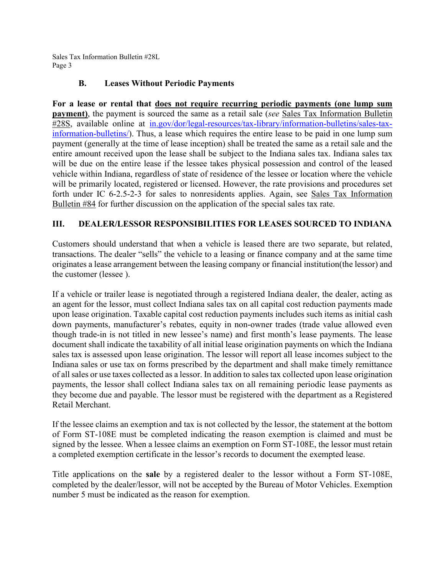# **B. Leases Without Periodic Payments**

**For a lease or rental that does not require recurring periodic payments (one lump sum payment)**, the payment is sourced the same as a retail sale (*see* Sales Tax Information Bulletin #28S, available online at [in.gov/dor/legal-resources/tax-library/information-bulletins/sales-tax](https://www.in.gov/dor/legal-resources/tax-library/information-bulletins/sales-tax-information-bulletins/)[information-bulletins/\)](https://www.in.gov/dor/legal-resources/tax-library/information-bulletins/sales-tax-information-bulletins/). Thus, a lease which requires the entire lease to be paid in one lump sum payment (generally at the time of lease inception) shall be treated the same as a retail sale and the entire amount received upon the lease shall be subject to the Indiana sales tax. Indiana sales tax will be due on the entire lease if the lessee takes physical possession and control of the leased vehicle within Indiana, regardless of state of residence of the lessee or location where the vehicle will be primarily located, registered or licensed. However, the rate provisions and procedures set forth under IC 6-2.5-2-3 for sales to nonresidents applies. Again, see Sales Tax Information Bulletin #84 for further discussion on the application of the special sales tax rate.

# **III. DEALER/LESSOR RESPONSIBILITIES FOR LEASES SOURCED TO INDIANA**

Customers should understand that when a vehicle is leased there are two separate, but related, transactions. The dealer "sells" the vehicle to a leasing or finance company and at the same time originates a lease arrangement between the leasing company or financial institution(the lessor) and the customer (lessee ).

If a vehicle or trailer lease is negotiated through a registered Indiana dealer, the dealer, acting as an agent for the lessor, must collect Indiana sales tax on all capital cost reduction payments made upon lease origination. Taxable capital cost reduction payments includes such items as initial cash down payments, manufacturer's rebates, equity in non-owner trades (trade value allowed even though trade-in is not titled in new lessee's name) and first month's lease payments. The lease document shall indicate the taxability of all initial lease origination payments on which the Indiana sales tax is assessed upon lease origination. The lessor will report all lease incomes subject to the Indiana sales or use tax on forms prescribed by the department and shall make timely remittance of all sales or use taxes collected as a lessor. In addition to sales tax collected upon lease origination payments, the lessor shall collect Indiana sales tax on all remaining periodic lease payments as they become due and payable. The lessor must be registered with the department as a Registered Retail Merchant.

If the lessee claims an exemption and tax is not collected by the lessor, the statement at the bottom of Form ST-108E must be completed indicating the reason exemption is claimed and must be signed by the lessee. When a lessee claims an exemption on Form ST-108E, the lessor must retain a completed exemption certificate in the lessor's records to document the exempted lease.

Title applications on the **sale** by a registered dealer to the lessor without a Form ST-108E, completed by the dealer/lessor, will not be accepted by the Bureau of Motor Vehicles. Exemption number 5 must be indicated as the reason for exemption.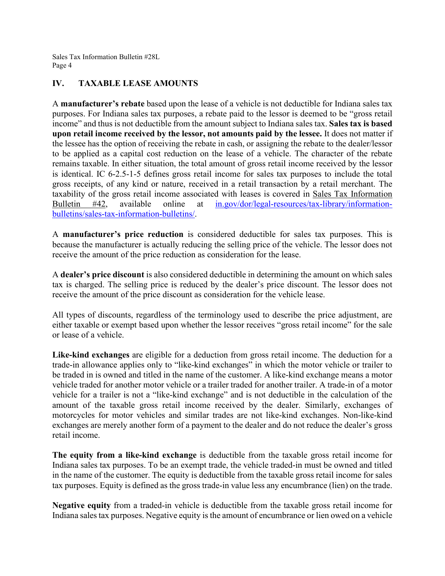## **IV. TAXABLE LEASE AMOUNTS**

A **manufacturer's rebate** based upon the lease of a vehicle is not deductible for Indiana sales tax purposes. For Indiana sales tax purposes, a rebate paid to the lessor is deemed to be "gross retail income" and thus is not deductible from the amount subject to Indiana sales tax. **Sales tax is based upon retail income received by the lessor, not amounts paid by the lessee.** It does not matter if the lessee has the option of receiving the rebate in cash, or assigning the rebate to the dealer/lessor to be applied as a capital cost reduction on the lease of a vehicle. The character of the rebate remains taxable. In either situation, the total amount of gross retail income received by the lessor is identical. IC 6-2.5-1-5 defines gross retail income for sales tax purposes to include the total gross receipts, of any kind or nature, received in a retail transaction by a retail merchant. The taxability of the gross retail income associated with leases is covered in Sales Tax Information Bulletin #42, available online at [in.gov/dor/legal-resources/tax-library/information](https://www.in.gov/dor/legal-resources/tax-library/information-bulletins/sales-tax-information-bulletins/)[bulletins/sales-tax-information-bulletins/.](https://www.in.gov/dor/legal-resources/tax-library/information-bulletins/sales-tax-information-bulletins/)

A **manufacturer's price reduction** is considered deductible for sales tax purposes. This is because the manufacturer is actually reducing the selling price of the vehicle. The lessor does not receive the amount of the price reduction as consideration for the lease.

A **dealer's price discount** is also considered deductible in determining the amount on which sales tax is charged. The selling price is reduced by the dealer's price discount. The lessor does not receive the amount of the price discount as consideration for the vehicle lease.

All types of discounts, regardless of the terminology used to describe the price adjustment, are either taxable or exempt based upon whether the lessor receives "gross retail income" for the sale or lease of a vehicle.

**Like-kind exchanges** are eligible for a deduction from gross retail income. The deduction for a trade-in allowance applies only to "like-kind exchanges" in which the motor vehicle or trailer to be traded in is owned and titled in the name of the customer. A like-kind exchange means a motor vehicle traded for another motor vehicle or a trailer traded for another trailer. A trade-in of a motor vehicle for a trailer is not a "like-kind exchange" and is not deductible in the calculation of the amount of the taxable gross retail income received by the dealer. Similarly, exchanges of motorcycles for motor vehicles and similar trades are not like-kind exchanges. Non-like-kind exchanges are merely another form of a payment to the dealer and do not reduce the dealer's gross retail income.

**The equity from a like-kind exchange** is deductible from the taxable gross retail income for Indiana sales tax purposes. To be an exempt trade, the vehicle traded-in must be owned and titled in the name of the customer. The equity is deductible from the taxable gross retail income for sales tax purposes. Equity is defined as the gross trade-in value less any encumbrance (lien) on the trade.

**Negative equity** from a traded-in vehicle is deductible from the taxable gross retail income for Indiana sales tax purposes. Negative equity is the amount of encumbrance or lien owed on a vehicle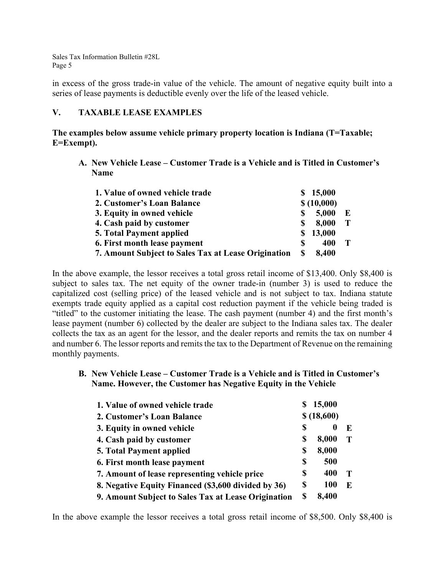in excess of the gross trade-in value of the vehicle. The amount of negative equity built into a series of lease payments is deductible evenly over the life of the leased vehicle.

#### **V. TAXABLE LEASE EXAMPLES**

**The examples below assume vehicle primary property location is Indiana (T=Taxable; E=Exempt).**

**A. New Vehicle Lease – Customer Trade is a Vehicle and is Titled in Customer's Name**

| 1. Value of owned vehicle trade                     |     | \$15,000   |   |
|-----------------------------------------------------|-----|------------|---|
| 2. Customer's Loan Balance                          |     | \$(10,000) |   |
| 3. Equity in owned vehicle                          | S   | 5,000      | E |
| 4. Cash paid by customer                            | S   | 8,000      | T |
| <b>5. Total Payment applied</b>                     | SS. | 13,000     |   |
| 6. First month lease payment                        | S   | 400        |   |
| 7. Amount Subject to Sales Tax at Lease Origination | S   | 8,400      |   |

In the above example, the lessor receives a total gross retail income of \$13,400. Only \$8,400 is subject to sales tax. The net equity of the owner trade-in (number 3) is used to reduce the capitalized cost (selling price) of the leased vehicle and is not subject to tax. Indiana statute exempts trade equity applied as a capital cost reduction payment if the vehicle being traded is "titled" to the customer initiating the lease. The cash payment (number 4) and the first month's lease payment (number 6) collected by the dealer are subject to the Indiana sales tax. The dealer collects the tax as an agent for the lessor, and the dealer reports and remits the tax on number 4 and number 6. The lessor reports and remits the tax to the Department of Revenue on the remaining monthly payments.

**B. New Vehicle Lease – Customer Trade is a Vehicle and is Titled in Customer's Name. However, the Customer has Negative Equity in the Vehicle**

| 1. Value of owned vehicle trade                     |            | 15,000 |    |
|-----------------------------------------------------|------------|--------|----|
| 2. Customer's Loan Balance                          | \$(18,600) |        |    |
| 3. Equity in owned vehicle                          | \$         |        | E  |
| 4. Cash paid by customer                            | S          | 8,000  |    |
| <b>5. Total Payment applied</b>                     | S          | 8,000  |    |
| 6. First month lease payment                        | \$         | 500    |    |
| 7. Amount of lease representing vehicle price       | S          | 400    |    |
| 8. Negative Equity Financed (\$3,600 divided by 36) | S          | 100    | F. |
| 9. Amount Subject to Sales Tax at Lease Origination | S          | 8,400  |    |

In the above example the lessor receives a total gross retail income of \$8,500. Only \$8,400 is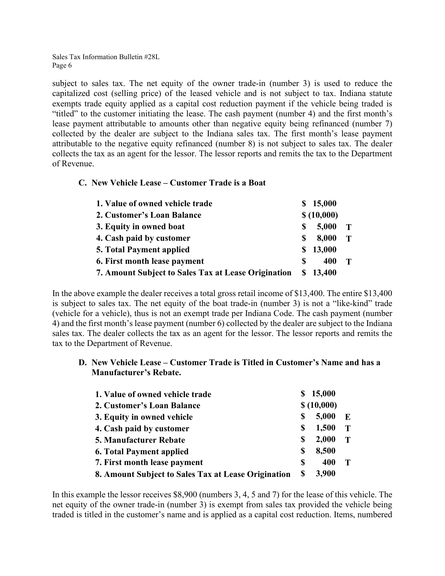subject to sales tax. The net equity of the owner trade-in (number 3) is used to reduce the capitalized cost (selling price) of the leased vehicle and is not subject to tax. Indiana statute exempts trade equity applied as a capital cost reduction payment if the vehicle being traded is "titled" to the customer initiating the lease. The cash payment (number 4) and the first month's lease payment attributable to amounts other than negative equity being refinanced (number 7) collected by the dealer are subject to the Indiana sales tax. The first month's lease payment attributable to the negative equity refinanced (number 8) is not subject to sales tax. The dealer collects the tax as an agent for the lessor. The lessor reports and remits the tax to the Department of Revenue.

#### **C. New Vehicle Lease – Customer Trade is a Boat**

| 1. Value of owned vehicle trade                     |   | \$15,000   |   |
|-----------------------------------------------------|---|------------|---|
| 2. Customer's Loan Balance                          |   | \$(10,000) |   |
| 3. Equity in owned boat                             | S | 5,000      | T |
| 4. Cash paid by customer                            | S | 8,000      | T |
| <b>5. Total Payment applied</b>                     | S | 13,000     |   |
| 6. First month lease payment                        | S | 400        | T |
| 7. Amount Subject to Sales Tax at Lease Origination |   | \$13,400   |   |

In the above example the dealer receives a total gross retail income of \$13,400. The entire \$13,400 is subject to sales tax. The net equity of the boat trade-in (number 3) is not a "like-kind" trade (vehicle for a vehicle), thus is not an exempt trade per Indiana Code. The cash payment (number 4) and the first month's lease payment (number 6) collected by the dealer are subject to the Indiana sales tax. The dealer collects the tax as an agent for the lessor. The lessor reports and remits the tax to the Department of Revenue.

#### **D. New Vehicle Lease – Customer Trade is Titled in Customer's Name and has a Manufacturer's Rebate.**

| 1. Value of owned vehicle trade                     | 15,000     |       |             |
|-----------------------------------------------------|------------|-------|-------------|
| 2. Customer's Loan Balance                          | \$(10,000) |       |             |
| 3. Equity in owned vehicle                          | S          | 5,000 | E           |
| 4. Cash paid by customer                            | S          | 1,500 | $\mathbf T$ |
| 5. Manufacturer Rebate                              | S          | 2,000 | $\mathbf T$ |
| <b>6. Total Payment applied</b>                     | S          | 8,500 |             |
| 7. First month lease payment                        | S          | 400   | Т           |
| 8. Amount Subject to Sales Tax at Lease Origination | S          | 3,900 |             |

In this example the lessor receives \$8,900 (numbers 3, 4, 5 and 7) for the lease of this vehicle. The net equity of the owner trade-in (number 3) is exempt from sales tax provided the vehicle being traded is titled in the customer's name and is applied as a capital cost reduction. Items, numbered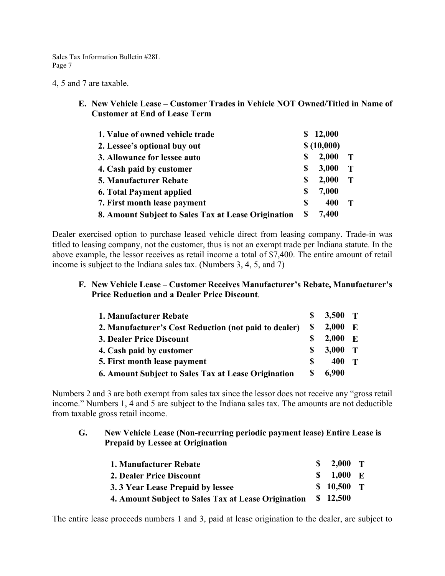4, 5 and 7 are taxable.

**E. New Vehicle Lease – Customer Trades in Vehicle NOT Owned/Titled in Name of Customer at End of Lease Term**

| 1. Value of owned vehicle trade                     | S  | 12,000     |   |
|-----------------------------------------------------|----|------------|---|
| 2. Lessee's optional buy out                        |    | \$(10,000) |   |
| 3. Allowance for lessee auto                        | \$ | 2,000      | Т |
| 4. Cash paid by customer                            | S  | 3,000      | т |
| <b>5. Manufacturer Rebate</b>                       | S  | 2,000      | T |
| <b>6. Total Payment applied</b>                     | S  | 7,000      |   |
| 7. First month lease payment                        | S  | 400        |   |
| 8. Amount Subject to Sales Tax at Lease Origination | S  | 7,400      |   |

Dealer exercised option to purchase leased vehicle direct from leasing company. Trade-in was titled to leasing company, not the customer, thus is not an exempt trade per Indiana statute. In the above example, the lessor receives as retail income a total of \$7,400. The entire amount of retail income is subject to the Indiana sales tax. (Numbers 3, 4, 5, and 7)

#### **F. New Vehicle Lease – Customer Receives Manufacturer's Rebate, Manufacturer's Price Reduction and a Dealer Price Discount**.

| 1. Manufacturer Rebate                                | S        | 3,500 T |              |
|-------------------------------------------------------|----------|---------|--------------|
| 2. Manufacturer's Cost Reduction (not paid to dealer) | S        | 2,000   | $\mathbf{E}$ |
| 3. Dealer Price Discount                              |          | 2,000   | $\mathbf{F}$ |
| 4. Cash paid by customer                              | S        | 3,000   | $\mathbf{T}$ |
| 5. First month lease payment                          | <b>S</b> | 400     |              |
| 6. Amount Subject to Sales Tax at Lease Origination   | S        | 6,900   |              |

Numbers 2 and 3 are both exempt from sales tax since the lessor does not receive any "gross retail income." Numbers 1, 4 and 5 are subject to the Indiana sales tax. The amounts are not deductible from taxable gross retail income.

#### **G. New Vehicle Lease (Non-recurring periodic payment lease) Entire Lease is Prepaid by Lessee at Origination**

| 1. Manufacturer Rebate                              | $S$ 2,000 T |  |
|-----------------------------------------------------|-------------|--|
| 2. Dealer Price Discount                            | $$1,000$ E  |  |
| 3. 3 Year Lease Prepaid by lessee                   | $$10,500$ T |  |
| 4. Amount Subject to Sales Tax at Lease Origination | \$ 12,500   |  |

The entire lease proceeds numbers 1 and 3, paid at lease origination to the dealer, are subject to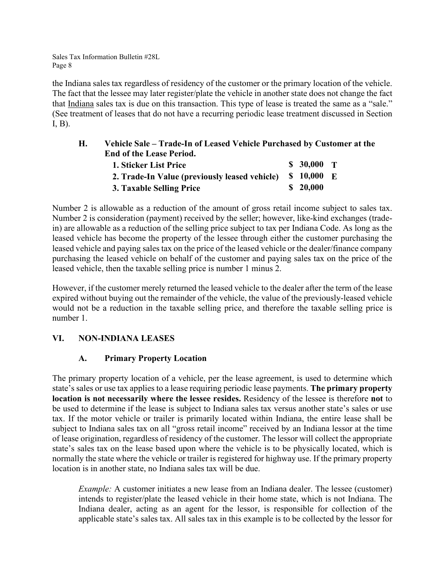the Indiana sales tax regardless of residency of the customer or the primary location of the vehicle. The fact that the lessee may later register/plate the vehicle in another state does not change the fact that Indiana sales tax is due on this transaction. This type of lease is treated the same as a "sale." (See treatment of leases that do not have a recurring periodic lease treatment discussed in Section I, B).

| Н. | Vehicle Sale – Trade-In of Leased Vehicle Purchased by Customer at the |             |  |
|----|------------------------------------------------------------------------|-------------|--|
|    | <b>End of the Lease Period.</b>                                        |             |  |
|    | 1. Sticker List Price                                                  | $$30,000$ T |  |
|    | 2. Trade-In Value (previously leased vehicle)                          | $$10,000$ E |  |
|    | 3. Taxable Selling Price                                               | \$20,000    |  |

Number 2 is allowable as a reduction of the amount of gross retail income subject to sales tax. Number 2 is consideration (payment) received by the seller; however, like-kind exchanges (tradein) are allowable as a reduction of the selling price subject to tax per Indiana Code. As long as the leased vehicle has become the property of the lessee through either the customer purchasing the leased vehicle and paying sales tax on the price of the leased vehicle or the dealer/finance company purchasing the leased vehicle on behalf of the customer and paying sales tax on the price of the leased vehicle, then the taxable selling price is number 1 minus 2.

However, if the customer merely returned the leased vehicle to the dealer after the term of the lease expired without buying out the remainder of the vehicle, the value of the previously-leased vehicle would not be a reduction in the taxable selling price, and therefore the taxable selling price is number 1.

# **VI. NON-INDIANA LEASES**

## **A. Primary Property Location**

The primary property location of a vehicle, per the lease agreement, is used to determine which state's sales or use tax applies to a lease requiring periodic lease payments. **The primary property location is not necessarily where the lessee resides.** Residency of the lessee is therefore **not** to be used to determine if the lease is subject to Indiana sales tax versus another state's sales or use tax. If the motor vehicle or trailer is primarily located within Indiana, the entire lease shall be subject to Indiana sales tax on all "gross retail income" received by an Indiana lessor at the time of lease origination, regardless of residency of the customer. The lessor will collect the appropriate state's sales tax on the lease based upon where the vehicle is to be physically located, which is normally the state where the vehicle or trailer is registered for highway use. If the primary property location is in another state, no Indiana sales tax will be due.

*Example:* A customer initiates a new lease from an Indiana dealer. The lessee (customer) intends to register/plate the leased vehicle in their home state, which is not Indiana. The Indiana dealer, acting as an agent for the lessor, is responsible for collection of the applicable state's sales tax. All sales tax in this example is to be collected by the lessor for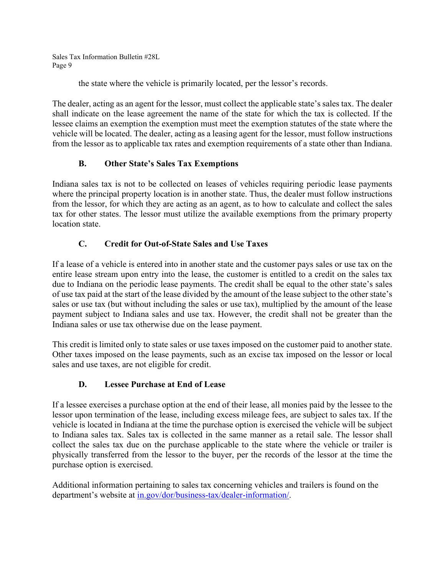the state where the vehicle is primarily located, per the lessor's records.

The dealer, acting as an agent for the lessor, must collect the applicable state's sales tax. The dealer shall indicate on the lease agreement the name of the state for which the tax is collected. If the lessee claims an exemption the exemption must meet the exemption statutes of the state where the vehicle will be located. The dealer, acting as a leasing agent for the lessor, must follow instructions from the lessor as to applicable tax rates and exemption requirements of a state other than Indiana.

# **B. Other State's Sales Tax Exemptions**

Indiana sales tax is not to be collected on leases of vehicles requiring periodic lease payments where the principal property location is in another state. Thus, the dealer must follow instructions from the lessor, for which they are acting as an agent, as to how to calculate and collect the sales tax for other states. The lessor must utilize the available exemptions from the primary property location state.

# **C. Credit for Out-of-State Sales and Use Taxes**

If a lease of a vehicle is entered into in another state and the customer pays sales or use tax on the entire lease stream upon entry into the lease, the customer is entitled to a credit on the sales tax due to Indiana on the periodic lease payments. The credit shall be equal to the other state's sales of use tax paid at the start of the lease divided by the amount of the lease subject to the other state's sales or use tax (but without including the sales or use tax), multiplied by the amount of the lease payment subject to Indiana sales and use tax. However, the credit shall not be greater than the Indiana sales or use tax otherwise due on the lease payment.

This credit is limited only to state sales or use taxes imposed on the customer paid to another state. Other taxes imposed on the lease payments, such as an excise tax imposed on the lessor or local sales and use taxes, are not eligible for credit.

# **D. Lessee Purchase at End of Lease**

If a lessee exercises a purchase option at the end of their lease, all monies paid by the lessee to the lessor upon termination of the lease, including excess mileage fees, are subject to sales tax. If the vehicle is located in Indiana at the time the purchase option is exercised the vehicle will be subject to Indiana sales tax. Sales tax is collected in the same manner as a retail sale. The lessor shall collect the sales tax due on the purchase applicable to the state where the vehicle or trailer is physically transferred from the lessor to the buyer, per the records of the lessor at the time the purchase option is exercised.

Additional information pertaining to sales tax concerning vehicles and trailers is found on the department's website at [in.gov/dor/business-tax/dealer-information/.](https://www.in.gov/dor/business-tax/dealer-information/)